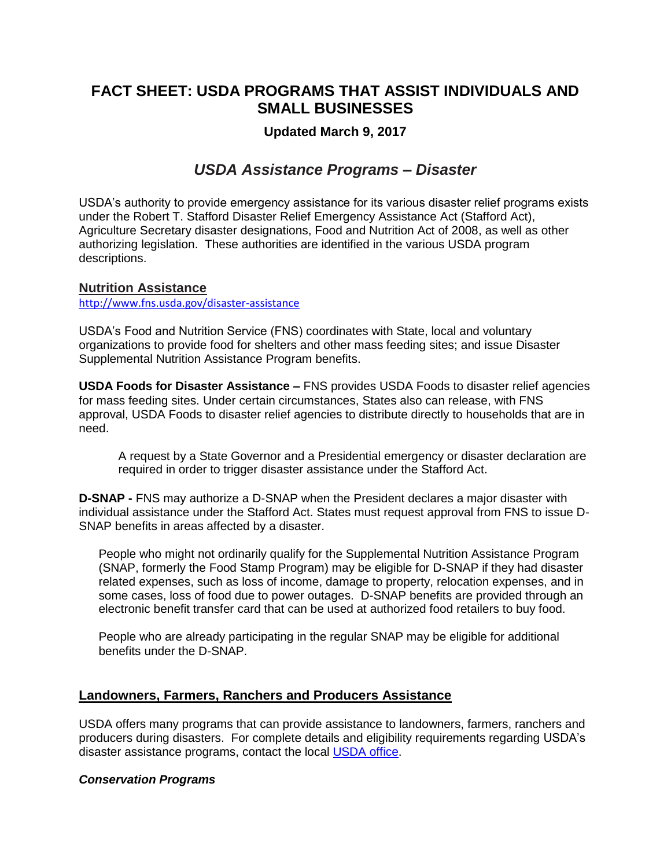# **FACT SHEET: USDA PROGRAMS THAT ASSIST INDIVIDUALS AND SMALL BUSINESSES**

# **Updated March 9, 2017**

# *USDA Assistance Programs – Disaster*

USDA's authority to provide emergency assistance for its various disaster relief programs exists under the Robert T. Stafford Disaster Relief Emergency Assistance Act (Stafford Act), Agriculture Secretary disaster designations, Food and Nutrition Act of 2008, as well as other authorizing legislation. These authorities are identified in the various USDA program descriptions.

#### **Nutrition Assistance**

<http://www.fns.usda.gov/disaster-assistance>

USDA's Food and Nutrition Service (FNS) coordinates with State, local and voluntary organizations to provide food for shelters and other mass feeding sites; and issue Disaster Supplemental Nutrition Assistance Program benefits.

**USDA Foods for Disaster Assistance –** FNS provides USDA Foods to disaster relief agencies for mass feeding sites. Under certain circumstances, States also can release, with FNS approval, USDA Foods to disaster relief agencies to distribute directly to households that are in need.

A request by a State Governor and a Presidential emergency or disaster declaration are required in order to trigger disaster assistance under the Stafford Act.

**D-SNAP -** FNS may authorize a D-SNAP when the President declares a major disaster with individual assistance under the Stafford Act. States must request approval from FNS to issue D-SNAP benefits in areas affected by a disaster.

People who might not ordinarily qualify for the Supplemental Nutrition Assistance Program (SNAP, formerly the Food Stamp Program) may be eligible for D-SNAP if they had disaster related expenses, such as loss of income, damage to property, relocation expenses, and in some cases, loss of food due to power outages. D-SNAP benefits are provided through an electronic benefit transfer card that can be used at authorized food retailers to buy food.

People who are already participating in the regular SNAP may be eligible for additional benefits under the D-SNAP.

## **Landowners, Farmers, Ranchers and Producers Assistance**

USDA offers many programs that can provide assistance to landowners, farmers, ranchers and producers during disasters. For complete details and eligibility requirements regarding USDA's disaster assistance programs, contact the local [USDA office.](http://offices.usda.gov/)

#### *Conservation Programs*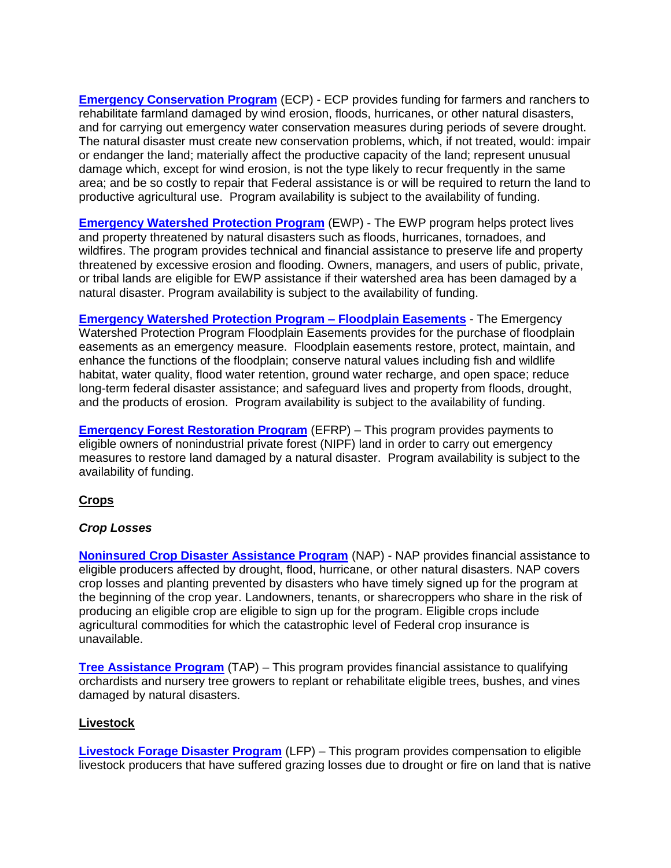**[Emergency Conservation Program](http://www.fsa.usda.gov/FSA/webapp?area=home&subject=copr&topic=ecp)** (ECP) - ECP provides funding for farmers and ranchers to rehabilitate farmland damaged by wind erosion, floods, hurricanes, or other natural disasters, and for carrying out emergency water conservation measures during periods of severe drought. The natural disaster must create new conservation problems, which, if not treated, would: impair or endanger the land; materially affect the productive capacity of the land; represent unusual damage which, except for wind erosion, is not the type likely to recur frequently in the same area; and be so costly to repair that Federal assistance is or will be required to return the land to productive agricultural use. Program availability is subject to the availability of funding.

**[Emergency Watershed Protection Program](http://www.nrcs.usda.gov/programs/ewp/)** (EWP) - The EWP program helps protect lives and property threatened by natural disasters such as floods, hurricanes, tornadoes, and wildfires. The program provides technical and financial assistance to preserve life and property threatened by excessive erosion and flooding. Owners, managers, and users of public, private, or tribal lands are eligible for EWP assistance if their watershed area has been damaged by a natural disaster. Program availability is subject to the availability of funding.

**[Emergency Watershed Protection Program –](http://www.nrcs.usda.gov/wps/portal/nrcs/main/national/programs/landscape/) Floodplain Easements** - The Emergency Watershed Protection Program Floodplain Easements provides for the purchase of floodplain easements as an emergency measure. Floodplain easements restore, protect, maintain, and enhance the functions of the floodplain; conserve natural values including fish and wildlife habitat, water quality, flood water retention, ground water recharge, and open space; reduce long-term federal disaster assistance; and safeguard lives and property from floods, drought, and the products of erosion. Program availability is subject to the availability of funding.

**[Emergency Forest Restoration Program](http://www.fsa.usda.gov/FSA/webapp?area=home&subject=diap&topic=efrp)** (EFRP) – This program provides payments to eligible owners of nonindustrial private forest (NIPF) land in order to carry out emergency measures to restore land damaged by a natural disaster. Program availability is subject to the availability of funding.

# **Crops**

## *Crop Losses*

**[Noninsured Crop Disaster Assistance Program](http://www.fsa.usda.gov/FSA/webapp?area=home&subject=diap&topic=nap)** (NAP) - NAP provides financial assistance to eligible producers affected by drought, flood, hurricane, or other natural disasters. NAP covers crop losses and planting prevented by disasters who have timely signed up for the program at the beginning of the crop year. Landowners, tenants, or sharecroppers who share in the risk of producing an eligible crop are eligible to sign up for the program. Eligible crops include agricultural commodities for which the catastrophic level of Federal crop insurance is unavailable.

**[Tree Assistance Program](http://www.fsa.usda.gov/FSA/webapp?area=home&subject=diap&topic=tap)** (TAP) – This program provides financial assistance to qualifying orchardists and nursery tree growers to replant or rehabilitate eligible trees, bushes, and vines damaged by natural disasters.

## **Livestock**

**[Livestock Forage Disaster Program](http://www.fsa.usda.gov/FSA/webapp?area=home&subject=diap&topic=lfp)** (LFP) – This program provides compensation to eligible livestock producers that have suffered grazing losses due to drought or fire on land that is native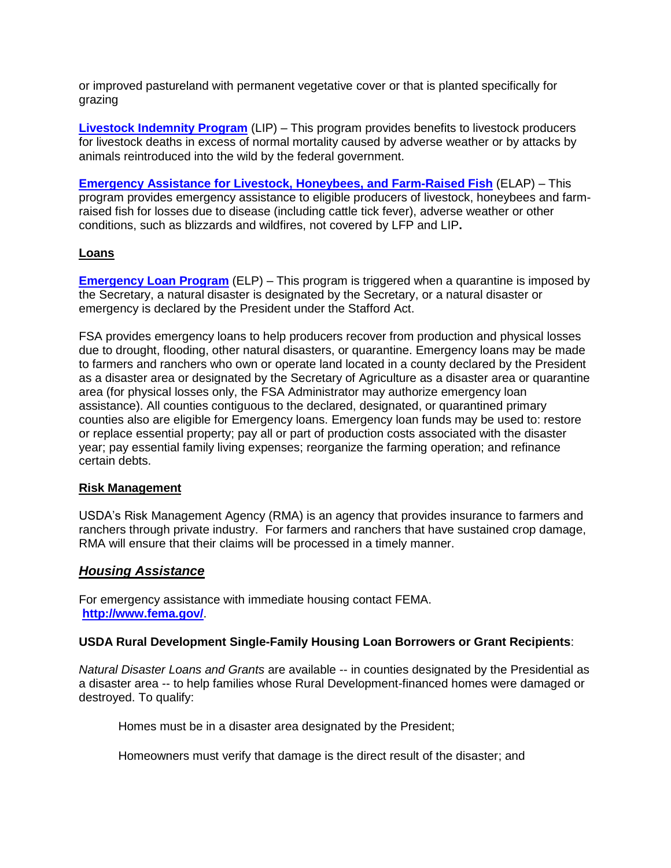or improved pastureland with permanent vegetative cover or that is planted specifically for grazing

**[Livestock Indemnity Program](http://www.fsa.usda.gov/FSA/webapp?area=home&subject=diap&topic=lip)** (LIP) – This program provides benefits to livestock producers for livestock deaths in excess of normal mortality caused by adverse weather or by attacks by animals reintroduced into the wild by the federal government.

**[Emergency Assistance for Livestock, Honeybees, and Farm-Raised Fish](http://www.fsa.usda.gov/FSA/webapp?area=home&subject=diap&topic=elap)** (ELAP) – This program provides emergency assistance to eligible producers of livestock, honeybees and farmraised fish for losses due to disease (including cattle tick fever), adverse weather or other conditions, such as blizzards and wildfires, not covered by LFP and LIP**.** 

## **Loans**

**[Emergency Loan Program](http://www.fsa.usda.gov/programs-and-services/farm-loan-programs/emergency-farm-loans/index)** (ELP) – This program is triggered when a quarantine is imposed by the Secretary, a natural disaster is designated by the Secretary, or a natural disaster or emergency is declared by the President under the Stafford Act.

FSA provides emergency loans to help producers recover from production and physical losses due to drought, flooding, other natural disasters, or quarantine. Emergency loans may be made to farmers and ranchers who own or operate land located in a county declared by the President as a disaster area or designated by the Secretary of Agriculture as a disaster area or quarantine area (for physical losses only, the FSA Administrator may authorize emergency loan assistance). All counties contiguous to the declared, designated, or quarantined primary counties also are eligible for Emergency loans. Emergency loan funds may be used to: restore or replace essential property; pay all or part of production costs associated with the disaster year; pay essential family living expenses; reorganize the farming operation; and refinance certain debts.

#### **Risk Management**

USDA's Risk Management Agency (RMA) is an agency that provides insurance to farmers and ranchers through private industry. For farmers and ranchers that have sustained crop damage, RMA will ensure that their claims will be processed in a timely manner.

## *Housing Assistance*

For emergency assistance with immediate housing contact FEMA. **<http://www.fema.gov/>**.

## **USDA Rural Development Single-Family Housing Loan Borrowers or Grant Recipients**:

*Natural Disaster Loans and Grants* are available -- in counties designated by the Presidential as a disaster area -- to help families whose Rural Development-financed homes were damaged or destroyed. To qualify:

Homes must be in a disaster area designated by the President;

Homeowners must verify that damage is the direct result of the disaster; and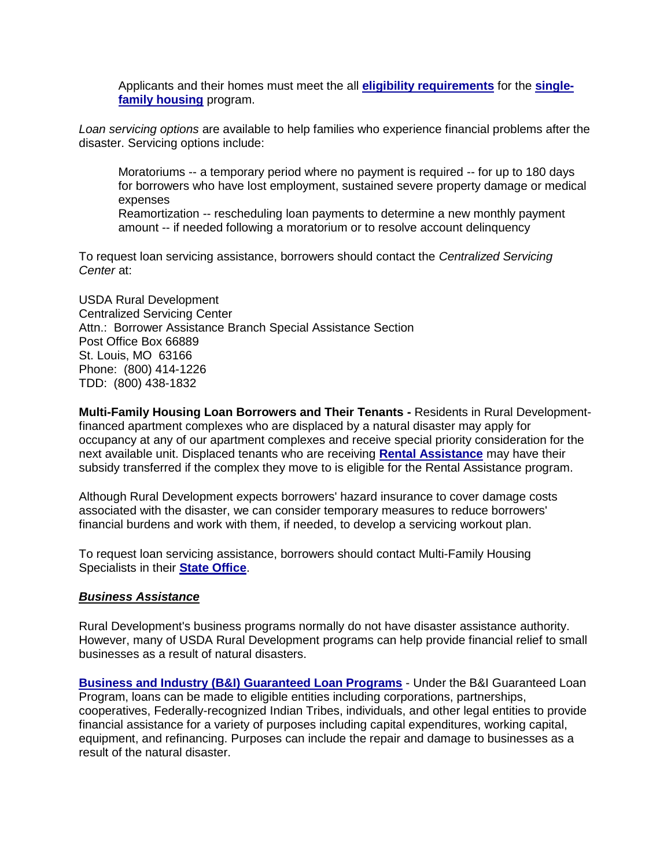Applicants and their homes must meet the all **[eligibility requirements](http://frwebgate.access.gpo.gov/cgi-bin/get-cfr.cgi?TITLE=7&PART=3550&SECTION=53&TYPE=TEXT)** for the **[single](http://www.rurdev.usda.gov/rhs/common/program_info.htm#SFH)[family housing](http://www.rurdev.usda.gov/rhs/common/program_info.htm#SFH)** program.

*Loan servicing options* are available to help families who experience financial problems after the disaster. Servicing options include:

Moratoriums -- a temporary period where no payment is required -- for up to 180 days for borrowers who have lost employment, sustained severe property damage or medical expenses

Reamortization -- rescheduling loan payments to determine a new monthly payment amount -- if needed following a moratorium or to resolve account delinquency

To request loan servicing assistance, borrowers should contact the *Centralized Servicing Center* at:

USDA Rural Development Centralized Servicing Center Attn.: Borrower Assistance Branch Special Assistance Section Post Office Box 66889 St. Louis, MO 63166 Phone: (800) 414-1226 TDD: (800) 438-1832

**Multi-Family Housing Loan Borrowers and Their Tenants -** Residents in Rural Developmentfinanced apartment complexes who are displaced by a natural disaster may apply for occupancy at any of our apartment complexes and receive special priority consideration for the next available unit. Displaced tenants who are receiving **[Rental Assistance](http://www.rurdev.usda.gov/rhs/mfh/brief_mfh_rra.htm)** may have their subsidy transferred if the complex they move to is eligible for the Rental Assistance program.

Although Rural Development expects borrowers' hazard insurance to cover damage costs associated with the disaster, we can consider temporary measures to reduce borrowers' financial burdens and work with them, if needed, to develop a servicing workout plan.

To request loan servicing assistance, borrowers should contact Multi-Family Housing Specialists in their **[State Office](http://www.rurdev.usda.gov/recd_map.html)**.

#### *Business Assistance*

Rural Development's business programs normally do not have disaster assistance authority. However, many of USDA Rural Development programs can help provide financial relief to small businesses as a result of natural disasters.

**[Business and Industry \(B&I\) Guaranteed Loan Programs](http://www.rurdev.usda.gov/rbs/busp/b&i_gar.htm)** - Under the B&I Guaranteed Loan Program, loans can be made to eligible entities including corporations, partnerships, cooperatives, Federally-recognized Indian Tribes, individuals, and other legal entities to provide financial assistance for a variety of purposes including capital expenditures, working capital, equipment, and refinancing. Purposes can include the repair and damage to businesses as a result of the natural disaster.